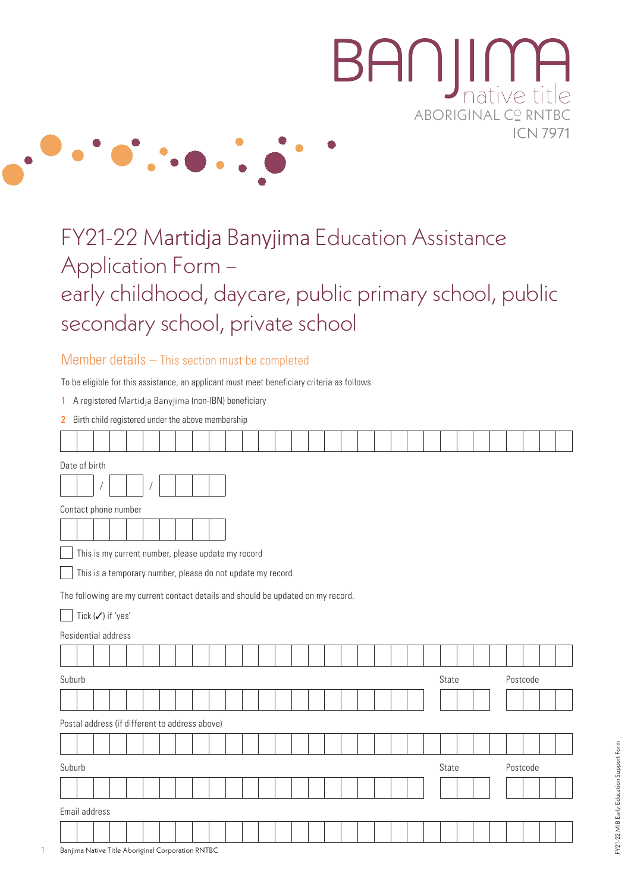

# FY21-22 Martidja Banyjima Education Assistance Application Form – early childhood, daycare, public primary school, public secondary school, private school

#### Member details – This section must be completed

To be eligible for this assistance, an applicant must meet beneficiary criteria as follows:

1 A registered Martidja Banyjima (non-IBN) beneficiary

|  |  |  |  |  |  | 2 Birth child registered under the above membership |
|--|--|--|--|--|--|-----------------------------------------------------|
|--|--|--|--|--|--|-----------------------------------------------------|

|        | Date of birth                                                                    |  |  |  |  |  |  |  |  |  |  |  |  |  |  |  |       |  |  |          |  |  |
|--------|----------------------------------------------------------------------------------|--|--|--|--|--|--|--|--|--|--|--|--|--|--|--|-------|--|--|----------|--|--|
|        |                                                                                  |  |  |  |  |  |  |  |  |  |  |  |  |  |  |  |       |  |  |          |  |  |
|        | Contact phone number                                                             |  |  |  |  |  |  |  |  |  |  |  |  |  |  |  |       |  |  |          |  |  |
|        |                                                                                  |  |  |  |  |  |  |  |  |  |  |  |  |  |  |  |       |  |  |          |  |  |
|        | This is my current number, please update my record                               |  |  |  |  |  |  |  |  |  |  |  |  |  |  |  |       |  |  |          |  |  |
|        | This is a temporary number, please do not update my record                       |  |  |  |  |  |  |  |  |  |  |  |  |  |  |  |       |  |  |          |  |  |
|        | The following are my current contact details and should be updated on my record. |  |  |  |  |  |  |  |  |  |  |  |  |  |  |  |       |  |  |          |  |  |
|        | Tick (√) if 'yes'                                                                |  |  |  |  |  |  |  |  |  |  |  |  |  |  |  |       |  |  |          |  |  |
|        | Residential address                                                              |  |  |  |  |  |  |  |  |  |  |  |  |  |  |  |       |  |  |          |  |  |
|        |                                                                                  |  |  |  |  |  |  |  |  |  |  |  |  |  |  |  |       |  |  |          |  |  |
| Suburb |                                                                                  |  |  |  |  |  |  |  |  |  |  |  |  |  |  |  | State |  |  | Postcode |  |  |
|        |                                                                                  |  |  |  |  |  |  |  |  |  |  |  |  |  |  |  |       |  |  |          |  |  |
|        | Postal address (if different to address above)                                   |  |  |  |  |  |  |  |  |  |  |  |  |  |  |  |       |  |  |          |  |  |
|        |                                                                                  |  |  |  |  |  |  |  |  |  |  |  |  |  |  |  |       |  |  |          |  |  |
|        | Suburb<br>State<br>Postcode                                                      |  |  |  |  |  |  |  |  |  |  |  |  |  |  |  |       |  |  |          |  |  |
|        |                                                                                  |  |  |  |  |  |  |  |  |  |  |  |  |  |  |  |       |  |  |          |  |  |
|        | Email address                                                                    |  |  |  |  |  |  |  |  |  |  |  |  |  |  |  |       |  |  |          |  |  |
|        |                                                                                  |  |  |  |  |  |  |  |  |  |  |  |  |  |  |  |       |  |  |          |  |  |
|        | Banjima Native Title Aboriginal Corporation RNTBC                                |  |  |  |  |  |  |  |  |  |  |  |  |  |  |  |       |  |  |          |  |  |

1 Banjima Native Title Aboriginal Corporation RNTBC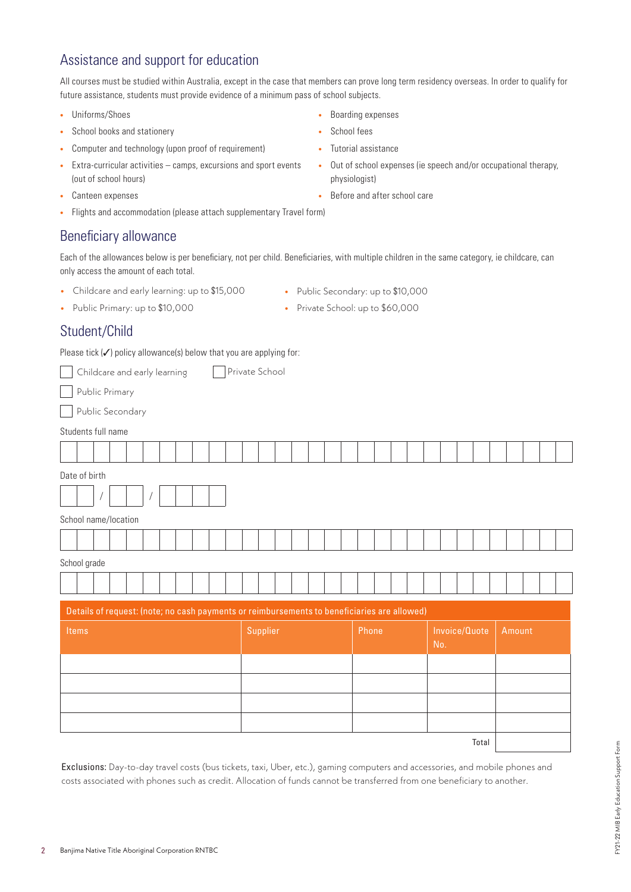# Assistance and support for education

All courses must be studied within Australia, except in the case that members can prove long term residency overseas. In order to qualify for future assistance, students must provide evidence of a minimum pass of school subjects.

- **•** Uniforms/Shoes
- **•** School books and stationery
- **•** Computer and technology (upon proof of requirement)
- **•** Extra-curricular activities camps, excursions and sport events (out of school hours)
- **•** Canteen expenses
- **•** Flights and accommodation (please attach supplementary Travel form)

#### Beneficiary allowance

Each of the allowances below is per beneficiary, not per child. Beneficiaries, with multiple children in the same category, ie childcare, can only access the amount of each total.

- **•** Childcare and early learning: up to \$15,000
- **•** Public Secondary: up to \$10,000
- **•** Public Primary: up to \$10,000
- **•** Private School: up to \$60,000

#### Student/Child

Please tick  $(\checkmark)$  policy allowance(s) below that you are applying for:

Childcare and early learning Private School

Public Primary

Public Secondary

| Students full name |  |
|--------------------|--|
|                    |  |

| Students full name                                                                          |          |       |                      |        |  |  |  |  |  |
|---------------------------------------------------------------------------------------------|----------|-------|----------------------|--------|--|--|--|--|--|
|                                                                                             |          |       |                      |        |  |  |  |  |  |
| Date of birth                                                                               |          |       |                      |        |  |  |  |  |  |
|                                                                                             |          |       |                      |        |  |  |  |  |  |
| School name/location                                                                        |          |       |                      |        |  |  |  |  |  |
|                                                                                             |          |       |                      |        |  |  |  |  |  |
| School grade                                                                                |          |       |                      |        |  |  |  |  |  |
|                                                                                             |          |       |                      |        |  |  |  |  |  |
| Details of request: (note; no cash payments or reimbursements to beneficiaries are allowed) |          |       |                      |        |  |  |  |  |  |
| Items                                                                                       | Supplier | Phone | Invoice/Quote<br>No. | Amount |  |  |  |  |  |
|                                                                                             |          |       |                      |        |  |  |  |  |  |
|                                                                                             |          |       |                      |        |  |  |  |  |  |
|                                                                                             |          |       |                      |        |  |  |  |  |  |
|                                                                                             |          |       |                      |        |  |  |  |  |  |
|                                                                                             |          |       | Total                |        |  |  |  |  |  |

Exclusions: Day-to-day travel costs (bus tickets, taxi, Uber, etc.), gaming computers and accessories, and mobile phones and costs associated with phones such as credit. Allocation of funds cannot be transferred from one beneficiary to another.

- **•** Boarding expenses
- **•** School fees
- **•** Tutorial assistance
- **•** Out of school expenses (ie speech and/or occupational therapy, physiologist)
- **•** Before and after school care